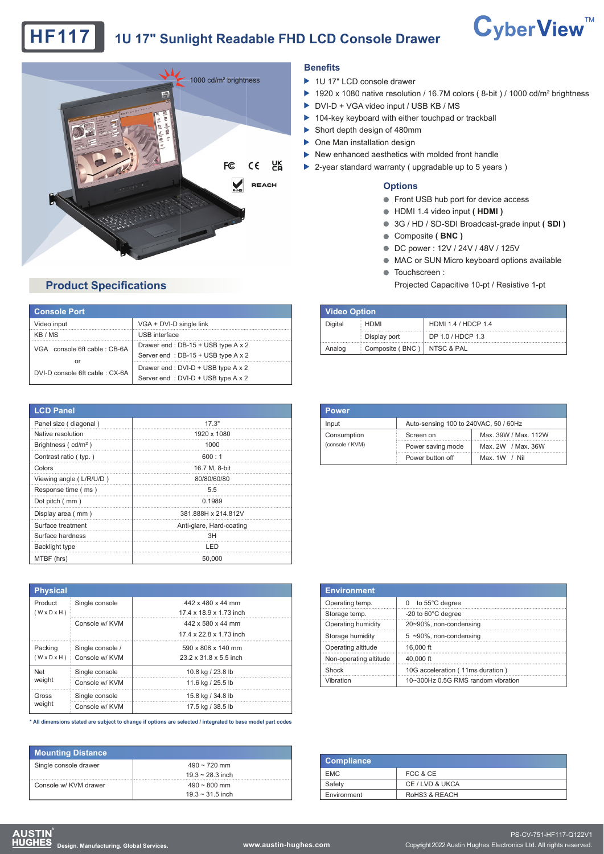# **HF117 1U 17" Sunlight Readable FHD LCD Console Drawer**





### **Benefits**

- ▶ 1U 17" LCD console drawer
- ▶ 1920 x 1080 native resolution / 16.7M colors (8-bit) / 1000 cd/m<sup>2</sup> brightness
- ▶ DVI-D + VGA video input / USB KB / MS
- ▶ 104-key keyboard with either touchpad or trackball
- Short depth design of 480mm
- One Man installation design ь
- $\blacktriangleright$  New enhanced aesthetics with molded front handle
- ▶ 2-year standard warranty ( upgradable up to 5 years )

#### **Options**

- Front USB hub port for device access
- HDMI 1.4 video input **( HDMI )**
- 3G / HD / SD-SDI Broadcast-grade input **( SDI )**
- Composite **( BNC )**
- DC power : 12V / 24V / 48V / 125V
- $\bullet$  MAC or SUN Micro keyboard options available
- **O** Touchscreen :
	- Projected Capacitive 10-pt / Resistive 1-pt

| Video Option |                              |                     |  |
|--------------|------------------------------|---------------------|--|
| Digital      | <b>HDMI</b>                  | HDMI 1.4 / HDCP 1.4 |  |
|              | Display port                 | DP 1.0 / HDCP 1.3   |  |
| Analog       | Composite (BNC)   NTSC & PAL |                     |  |

| <b>Power</b>                   |                                       |                      |
|--------------------------------|---------------------------------------|----------------------|
| Input                          | Auto-sensing 100 to 240VAC, 50 / 60Hz |                      |
| Consumption<br>(console / KVM) | Screen on                             | Max. 39W / Max. 112W |
|                                | Power saving mode                     | Max. 2W / Max. 36W   |
|                                | Power button off                      | Max. $1W / Nil$      |

|                   | Auto-sensing 100 to 240VAC, 50 / 60Hz |  |  |
|-------------------|---------------------------------------|--|--|
| Screen on         | Max. 39W / Max. 112W                  |  |  |
| Power saving mode | Max. 2W / Max. 36W                    |  |  |
| Power button off  | Max. $1W / Nil$                       |  |  |
|                   |                                       |  |  |

| <b>Environment</b>     |                                    |  |  |  |
|------------------------|------------------------------------|--|--|--|
| Operating temp.        | 0 to 55°C degree                   |  |  |  |
| Storage temp.          | -20 to 60°C degree                 |  |  |  |
| Operating humidity     | 20~90%, non-condensing             |  |  |  |
| Storage humidity       | $5 \sim 90\%$ , non-condensing     |  |  |  |
| Operating altitude     | 16,000 ft                          |  |  |  |
| Non-operating altitude | 40,000 ft                          |  |  |  |
| Shock                  | 10G acceleration (11ms duration)   |  |  |  |
| Vibration              | 10~300Hz 0.5G RMS random vibration |  |  |  |

| <b>Compliance</b> |                 |
|-------------------|-----------------|
| <b>EMC</b>        | FCC & CE        |
| Safety            | CE / LVD & UKCA |
| Environment       | RoHS3 & REACH   |

## **Product Specifications**

| <b>Console Port</b>            |                                     |  |  |
|--------------------------------|-------------------------------------|--|--|
| Video input                    | VGA + DVI-D single link             |  |  |
| KB / MS                        | USB interface                       |  |  |
| VGA console 6ft cable: CB-6A   | Drawer end: DB-15 + USB type A x 2  |  |  |
| or                             | Server end: DB-15 + USB type A x 2  |  |  |
| DVI-D console 6ft cable: CX-6A | Drawer end : DVI-D + USB type A x 2 |  |  |
|                                | Server end: DVI-D + USB type A x 2  |  |  |

| <b>LCD Panel</b>                |                          |  |  |  |
|---------------------------------|--------------------------|--|--|--|
| Panel size (diagonal)           | 17.3"                    |  |  |  |
| Native resolution               | 1920 x 1080              |  |  |  |
| Brightness (cd/m <sup>2</sup> ) | 1000                     |  |  |  |
| Contrast ratio ( typ.)          | 600:1                    |  |  |  |
| Colors                          | 16.7 M, 8-bit            |  |  |  |
| Viewing angle (L/R/U/D)         | 80/80/60/80              |  |  |  |
| Response time (ms)              | 5.5                      |  |  |  |
| Dot pitch (mm)                  | 0.1989                   |  |  |  |
| Display area (mm)               | 381.888H x 214.812V      |  |  |  |
| Surface treatment               | Anti-glare, Hard-coating |  |  |  |
| Surface hardness                | 3H                       |  |  |  |
| Backlight type                  | LED                      |  |  |  |
| MTBF (hrs)                      | 50.000                   |  |  |  |

| <b>Physical</b>                    |                  |                         |  |  |
|------------------------------------|------------------|-------------------------|--|--|
| Product                            | Single console   | 442 x 480 x 44 mm       |  |  |
| $(W \times D \times H)$            |                  | 17 4 x 18 9 x 1 73 inch |  |  |
|                                    | Console w/ KVM   | 442 x 580 x 44 mm       |  |  |
|                                    |                  | 17 4 x 22 8 x 1 73 inch |  |  |
| Packing<br>$(W \times D \times H)$ | Single console / | 590 x 808 x 140 mm      |  |  |
|                                    | Console w/ KVM   | 23.2 x 31.8 x 5.5 inch  |  |  |
| <b>Net</b>                         | Single console   | 10.8 kg / 23.8 lb       |  |  |
| weight                             | Console w/ KVM   | 11.6 kg / 25.5 lb       |  |  |
| Gross                              | Single console   | 15.8 kg / 34.8 lb       |  |  |
| weight                             | Console w/ KVM   | 17.5 kg / 38.5 lb       |  |  |

**\* All dimensions stated are subject to change if options are selected / integrated to base model part codes**

| <b>Mounting Distance</b> |                       |  |  |
|--------------------------|-----------------------|--|--|
| Single console drawer    | $490 \sim 720$ mm     |  |  |
|                          | $19.3 \sim 28.3$ inch |  |  |
| Console w/ KVM drawer    | $490 \sim 800$ mm     |  |  |
|                          | $19.3 \sim 31.5$ inch |  |  |